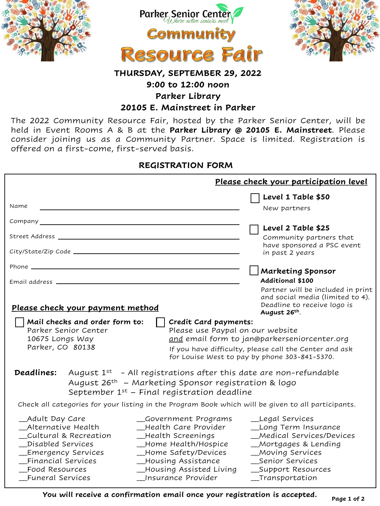





# **THURSDAY, SEPTEMBER 29, 2022**

### **9:00 to 12:00 noon**

**Parker Library**

#### **20105 E. Mainstreet in Parker**

The 2022 Community Resource Fair, hosted by the Parker Senior Center, will be held in Event Rooms A & B at the **Parker Library @ 20105 E. Mainstreet**. Please consider joining us as a Community Partner. Space is limited. Registration is offered on a first-come, first-served basis.

## **REGISTRATION FORM**

|                                                                                                                                                                                                                                                                                                | Please check your participation level                                                                                                                                                                                                                      |
|------------------------------------------------------------------------------------------------------------------------------------------------------------------------------------------------------------------------------------------------------------------------------------------------|------------------------------------------------------------------------------------------------------------------------------------------------------------------------------------------------------------------------------------------------------------|
| Name                                                                                                                                                                                                                                                                                           | Level 1 Table \$50<br>New partners                                                                                                                                                                                                                         |
| Company experience of the company of the company of the company of the company of the company of the company of the company of the company of the company of the company of the company of the company of the company of the c                                                                 |                                                                                                                                                                                                                                                            |
|                                                                                                                                                                                                                                                                                                | Level 2 Table \$25<br>Community partners that<br>have sponsored a PSC event<br>in past 2 years                                                                                                                                                             |
|                                                                                                                                                                                                                                                                                                | <b>Marketing Sponsor</b>                                                                                                                                                                                                                                   |
| Please check your payment method                                                                                                                                                                                                                                                               | <b>Additional \$100</b><br>Partner will be included in print<br>and social media (limited to 4).<br>Deadline to receive logo is                                                                                                                            |
| Mail checks and order form to:<br>Parker Senior Center<br>10675 Longs Way<br>Parker, CO 80138                                                                                                                                                                                                  | August 26th.<br>Credit Card payments:<br>Please use Paypal on our website<br>and email form to jan@parkerseniorcenter.org<br>If you have difficulty, please call the Center and ask<br>for Louise West to pay by phone 303-841-5370.                       |
| Deadlines:<br>September $1^{st}$ – Final registration deadline                                                                                                                                                                                                                                 | August $1^{st}$ - All registrations after this date are non-refundable<br>August 26 <sup>th</sup> - Marketing Sponsor registration & logo                                                                                                                  |
|                                                                                                                                                                                                                                                                                                | Check all categories for your listing in the Program Book which will be given to all participants.                                                                                                                                                         |
| _Adult Day Care<br>_Alternative Health<br>_Health Care Provider<br>Cultural & Recreation<br>_Health Screenings<br>_Disabled Services<br>_Home Safety/Devices<br>_Emergency Services<br>Financial Services<br>_Housing Assistance<br>Food Resources<br>_Insurance Provider<br>_Funeral Services | _Government Programs<br>_Legal Services<br>_Long Term Insurance<br>_Medical Services/Devices<br>_Home Health/Hospice<br>_Mortgages & Lending<br>_Moving Services<br>_Senior Services<br>_Housing Assisted Living<br>_Support Resources<br>__Transportation |